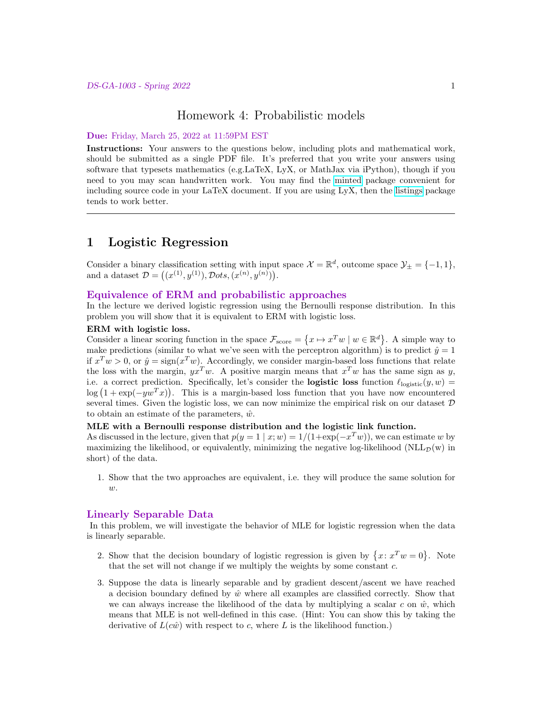### Homework 4: Probabilistic models

#### Due: Friday, March 25, 2022 at 11:59PM EST

Instructions: Your answers to the questions below, including plots and mathematical work, should be submitted as a single PDF file. It's preferred that you write your answers using software that typesets mathematics (e.g.LaTeX, LyX, or MathJax via iPython), though if you need to you may scan handwritten work. You may find the [minted](https://github.com/gpoore/minted) package convenient for including source code in your LaTeX document. If you are using LyX, then the [listings](https://en.wikibooks.org/wiki/LaTeX/Source_Code_Listings) package tends to work better.

## 1 Logistic Regression

Consider a binary classification setting with input space  $\mathcal{X} = \mathbb{R}^d$ , outcome space  $\mathcal{Y}_\pm = \{-1, 1\}$ , and a dataset  $\mathcal{D} = ((x^{(1)}, y^{(1)}), \mathcal{D}ots, (x^{(n)}, y^{(n)})).$ 

## Equivalence of ERM and probabilistic approaches

In the lecture we derived logistic regression using the Bernoulli response distribution. In this problem you will show that it is equivalent to ERM with logistic loss.

#### ERM with logistic loss.

Consider a linear scoring function in the space  $\mathcal{F}_{score} = \{x \mapsto x^T w \mid w \in \mathbb{R}^d\}$ . A simple way to make predictions (similar to what we've seen with the perceptron algorithm) is to predict  $\hat{y} = 1$ if  $x^T w > 0$ , or  $\hat{y} = \text{sign}(x^T w)$ . Accordingly, we consider margin-based loss functions that relate the loss with the margin,  $yx^Tw$ . A positive margin means that  $x^Tw$  has the same sign as y, i.e. a correct prediction. Specifically, let's consider the **logistic loss** function  $\ell_{\text{logistic}}(y, w)$  =  $\log(1 + \exp(-yw^{T}x))$ . This is a margin-based loss function that you have now encountered several times. Given the logistic loss, we can now minimize the empirical risk on our dataset  $D$ to obtain an estimate of the parameters,  $\hat{w}$ .

#### MLE with a Bernoulli response distribution and the logistic link function.

As discussed in the lecture, given that  $p(y = 1 | x; w) = 1/(1 + \exp(-x^T w))$ , we can estimate w by maximizing the likelihood, or equivalently, minimizing the negative log-likelihood ( $NLL_{\mathcal{D}}(w)$  in short) of the data.

1. Show that the two approaches are equivalent, i.e. they will produce the same solution for  $w$ .

#### Linearly Separable Data

In this problem, we will investigate the behavior of MLE for logistic regression when the data is linearly separable.

- 2. Show that the decision boundary of logistic regression is given by  $\{x: x^T w = 0\}$ . Note that the set will not change if we multiply the weights by some constant c.
- 3. Suppose the data is linearly separable and by gradient descent/ascent we have reached a decision boundary defined by  $\hat{w}$  where all examples are classified correctly. Show that we can always increase the likelihood of the data by multiplying a scalar c on  $\hat{w}$ , which means that MLE is not well-defined in this case. (Hint: You can show this by taking the derivative of  $L(c\hat{w})$  with respect to c, where L is the likelihood function.)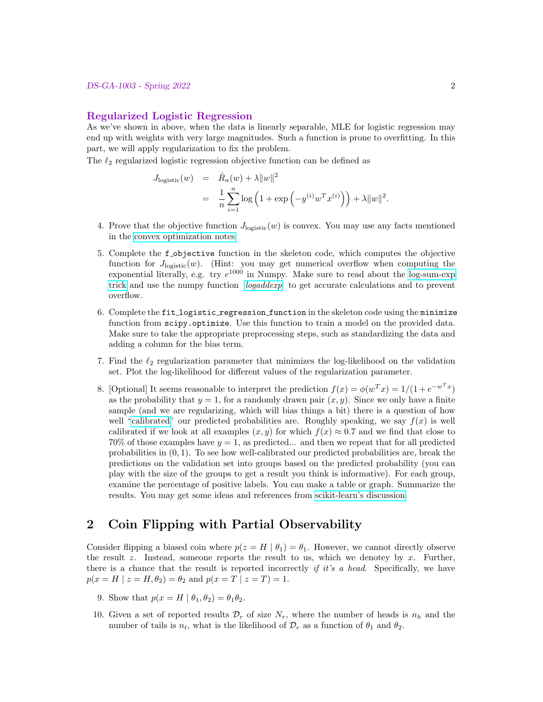#### Regularized Logistic Regression

As we've shown in above, when the data is linearly separable, MLE for logistic regression may end up with weights with very large magnitudes. Such a function is prone to overfitting. In this part, we will apply regularization to fix the problem.

The  $\ell_2$  regularized logistic regression objective function can be defined as

$$
J_{\text{logistic}}(w) = \hat{R}_n(w) + \lambda \|w\|^2
$$
  
= 
$$
\frac{1}{n} \sum_{i=1}^n \log \left(1 + \exp \left(-y^{(i)} w^T x^{(i)}\right)\right) + \lambda \|w\|^2.
$$

- 4. Prove that the objective function  $J_{\text{logistic}}(w)$  is convex. You may use any facts mentioned in the [convex optimization notes.](https://davidrosenberg.github.io/mlcourse/Notes/convex-optimization.pdf)
- 5. Complete the f objective function in the skeleton code, which computes the objective function for  $J_{\text{logistic}}(w)$ . (Hint: you may get numerical overflow when computing the exponential literally, e.g. try  $e^{1000}$  in Numpy. Make sure to read about the [log-sum-exp](https://blog.feedly.com/tricks-of-the-trade-logsumexp/) [trick](https://blog.feedly.com/tricks-of-the-trade-logsumexp/) and use the numpy function [logaddexp](https://docs.scipy.org/doc/numpy/reference/generated/numpy.logaddexp.html) to get accurate calculations and to prevent overflow.
- 6. Complete the fit logistic regression function in the skeleton code using the minimize function from scipy.optimize. Use this function to train a model on the provided data. Make sure to take the appropriate preprocessing steps, such as standardizing the data and adding a column for the bias term.
- 7. Find the  $\ell_2$  regularization parameter that minimizes the log-likelihood on the validation set. Plot the log-likelihood for different values of the regularization parameter.
- 8. [Optional] It seems reasonable to interpret the prediction  $f(x) = \phi(w^T x) = 1/(1 + e^{-w^T x})$ as the probability that  $y = 1$ , for a randomly drawn pair  $(x, y)$ . Since we only have a finite sample (and we are regularizing, which will bias things a bit) there is a question of how well ["calibrated"](https://en.wikipedia.org/wiki/Calibration_(statistics)) our predicted probabilities are. Roughly speaking, we say  $f(x)$  is well calibrated if we look at all examples  $(x, y)$  for which  $f(x) \approx 0.7$  and we find that close to 70% of those examples have  $y = 1$ , as predicted... and then we repeat that for all predicted probabilities in  $(0, 1)$ . To see how well-calibrated our predicted probabilities are, break the predictions on the validation set into groups based on the predicted probability (you can play with the size of the groups to get a result you think is informative). For each group, examine the percentage of positive labels. You can make a table or graph. Summarize the results. You may get some ideas and references from [scikit-learn's discussion.](http://scikit-learn.org/stable/modules/calibration.html)

# 2 Coin Flipping with Partial Observability

Consider flipping a biased coin where  $p(z = H | \theta_1) = \theta_1$ . However, we cannot directly observe the result  $z$ . Instead, someone reports the result to us, which we denotey by  $x$ . Further, there is a chance that the result is reported incorrectly if it's a head. Specifically, we have  $p(x = H \mid z = H, \theta_2) = \theta_2$  and  $p(x = T \mid z = T) = 1$ .

- 9. Show that  $p(x = H | \theta_1, \theta_2) = \theta_1 \theta_2$ .
- 10. Given a set of reported results  $\mathcal{D}_r$  of size  $N_r$ , where the number of heads is  $n_h$  and the number of tails is  $n_t$ , what is the likelihood of  $\mathcal{D}_r$  as a function of  $\theta_1$  and  $\theta_2$ .